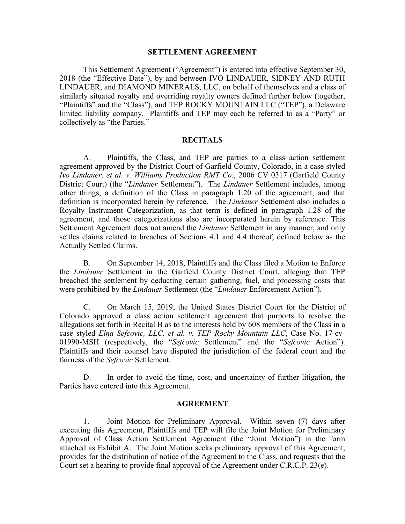### **SETTLEMENT AGREEMENT**

This Settlement Agreement ("Agreement") is entered into effective September 30, 2018 (the "Effective Date"), by and between IVO LINDAUER, SIDNEY AND RUTH LINDAUER, and DIAMOND MINERALS, LLC, on behalf of themselves and a class of similarly situated royalty and overriding royalty owners defined further below (together, "Plaintiffs" and the "Class"), and TEP ROCKY MOUNTAIN LLC ("TEP"), a Delaware limited liability company. Plaintiffs and TEP may each be referred to as a "Party" or collectively as "the Parties."

### **RECITALS**

A. Plaintiffs, the Class, and TEP are parties to a class action settlement agreement approved by the District Court of Garfield County, Colorado, in a case styled *Ivo Lindauer, et al. v. Williams Production RMT Co.*, 2006 CV 0317 (Garfield County District Court) (the "*Lindauer* Settlement"). The *Lindauer* Settlement includes, among other things, a definition of the Class in paragraph 1.20 of the agreement, and that definition is incorporated herein by reference. The *Lindauer* Settlement also includes a Royalty Instrument Categorization, as that term is defined in paragraph 1.28 of the agreement, and those categorizations also are incorporated herein by reference. This Settlement Agreement does not amend the *Lindauer* Settlement in any manner, and only settles claims related to breaches of Sections 4.1 and 4.4 thereof, defined below as the Actually Settled Claims.

B. On September 14, 2018, Plaintiffs and the Class filed a Motion to Enforce the *Lindauer* Settlement in the Garfield County District Court, alleging that TEP breached the settlement by deducting certain gathering, fuel, and processing costs that were prohibited by the *Lindauer* Settlement (the "*Lindauer* Enforcement Action").

C. On March 15, 2019, the United States District Court for the District of Colorado approved a class action settlement agreement that purports to resolve the allegations set forth in Recital B as to the interests held by 608 members of the Class in a case styled *Elna Sefcovic, LLC, et al. v. TEP Rocky Mountain LLC*, Case No. 17-cv-01990-MSH (respectively, the "*Sefcovic* Settlement" and the "*Sefcovic* Action"). Plaintiffs and their counsel have disputed the jurisdiction of the federal court and the fairness of the *Sefcovic* Settlement.

D. In order to avoid the time, cost, and uncertainty of further litigation, the Parties have entered into this Agreement.

### **AGREEMENT**

1. Joint Motion for Preliminary Approval. Within seven (7) days after executing this Agreement, Plaintiffs and TEP will file the Joint Motion for Preliminary Approval of Class Action Settlement Agreement (the "Joint Motion") in the form attached as Exhibit A. The Joint Motion seeks preliminary approval of this Agreement, provides for the distribution of notice of the Agreement to the Class, and requests that the Court set a hearing to provide final approval of the Agreement under C.R.C.P. 23(e).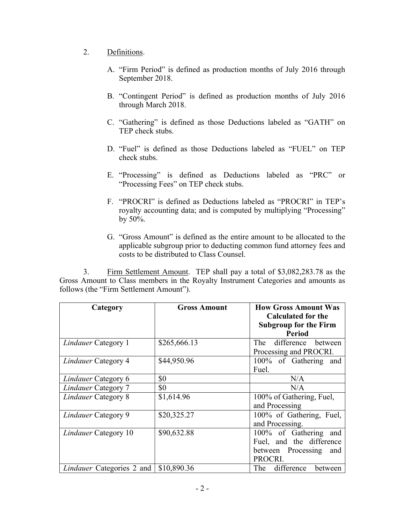- 2. Definitions.
	- A. "Firm Period" is defined as production months of July 2016 through September 2018.
	- B. "Contingent Period" is defined as production months of July 2016 through March 2018.
	- C. "Gathering" is defined as those Deductions labeled as "GATH" on TEP check stubs.
	- D. "Fuel" is defined as those Deductions labeled as "FUEL" on TEP check stubs.
	- E. "Processing" is defined as Deductions labeled as "PRC" or "Processing Fees" on TEP check stubs.
	- F. "PROCRI" is defined as Deductions labeled as "PROCRI" in TEP's royalty accounting data; and is computed by multiplying "Processing" by 50%.
	- G. "Gross Amount" is defined as the entire amount to be allocated to the applicable subgroup prior to deducting common fund attorney fees and costs to be distributed to Class Counsel.

3. Firm Settlement Amount. TEP shall pay a total of \$3,082,283.78 as the Gross Amount to Class members in the Royalty Instrument Categories and amounts as follows (the "Firm Settlement Amount").

| Category                   | <b>Gross Amount</b> | <b>How Gross Amount Was</b>  |  |  |
|----------------------------|---------------------|------------------------------|--|--|
|                            |                     | <b>Calculated for the</b>    |  |  |
|                            |                     | <b>Subgroup for the Firm</b> |  |  |
|                            |                     | <b>Period</b>                |  |  |
| <b>Lindauer Category 1</b> | \$265,666.13        | difference<br>The<br>between |  |  |
|                            |                     | Processing and PROCRI.       |  |  |
| <b>Lindauer Category 4</b> | \$44,950.96         | 100% of Gathering<br>and     |  |  |
|                            |                     | Fuel.                        |  |  |
| <i>Lindauer</i> Category 6 | \$0                 | N/A                          |  |  |
| <b>Lindauer Category 7</b> | \$0                 | N/A                          |  |  |
| <b>Lindauer Category 8</b> | \$1,614.96          | 100% of Gathering, Fuel,     |  |  |
|                            |                     | and Processing               |  |  |
| <b>Lindauer Category 9</b> | \$20,325.27         | 100% of Gathering, Fuel,     |  |  |
|                            |                     | and Processing.              |  |  |
| Lindauer Category 10       | \$90,632.88         | 100% of Gathering<br>and     |  |  |
|                            |                     | Fuel, and the difference     |  |  |
|                            |                     | between Processing<br>and    |  |  |
|                            |                     | PROCRI.                      |  |  |
| Lindauer Categories 2 and  | \$10,890.36         | The difference<br>between    |  |  |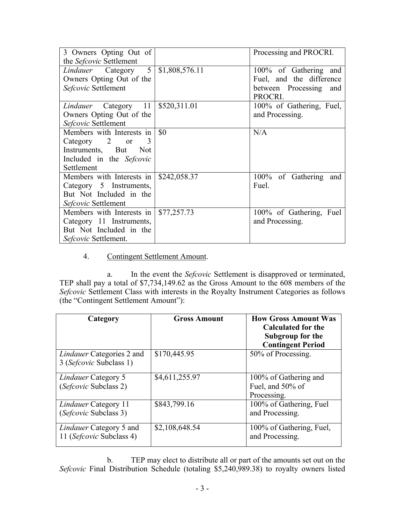| 3 Owners Opting Out of    |                | Processing and PROCRI.   |
|---------------------------|----------------|--------------------------|
| the Sefcovic Settlement   |                |                          |
| Lindauer Category 5       | \$1,808,576.11 | 100% of Gathering and    |
| Owners Opting Out of the  |                | Fuel, and the difference |
| Sefcovic Settlement       |                | between Processing and   |
|                           |                | PROCRI.                  |
| Lindauer Category 11      | \$520,311.01   | 100% of Gathering, Fuel, |
| Owners Opting Out of the  |                | and Processing.          |
| Sefcovic Settlement       |                |                          |
| Members with Interests in | \$0            | N/A                      |
| Category 2 or<br>3        |                |                          |
| Instruments, But Not      |                |                          |
| Included in the Sefcovic  |                |                          |
| Settlement                |                |                          |
| Members with Interests in | \$242,058.37   | 100% of Gathering and    |
| Category 5 Instruments,   |                | Fuel.                    |
| But Not Included in the   |                |                          |
| Sefcovic Settlement       |                |                          |
| Members with Interests in | \$77,257.73    | 100% of Gathering, Fuel  |
| Category 11 Instruments,  |                | and Processing.          |
| But Not Included in the   |                |                          |
| Sefcovic Settlement.      |                |                          |

## 4. Contingent Settlement Amount.

a. In the event the *Sefcovic* Settlement is disapproved or terminated, TEP shall pay a total of \$7,734,149.62 as the Gross Amount to the 608 members of the *Sefcovic* Settlement Class with interests in the Royalty Instrument Categories as follows (the "Contingent Settlement Amount"):

| Category                                                    | <b>Gross Amount</b> | <b>How Gross Amount Was</b><br><b>Calculated for the</b><br>Subgroup for the<br><b>Contingent Period</b> |
|-------------------------------------------------------------|---------------------|----------------------------------------------------------------------------------------------------------|
| <i>Lindauer</i> Categories 2 and<br>3 (Sefcovic Subclass 1) | \$170,445.95        | 50% of Processing.                                                                                       |
| <i>Lindauer</i> Category 5<br>(Sefcovic Subclass 2)         | \$4,611,255.97      | 100% of Gathering and<br>Fuel, and 50% of<br>Processing.                                                 |
| <i>Lindauer</i> Category 11<br>(Sefcovic Subclass 3)        | \$843,799.16        | 100% of Gathering, Fuel<br>and Processing.                                                               |
| Lindauer Category 5 and<br>11 (Sefcovic Subclass 4)         | \$2,108,648.54      | 100% of Gathering, Fuel,<br>and Processing.                                                              |

b. TEP may elect to distribute all or part of the amounts set out on the *Sefcovic* Final Distribution Schedule (totaling \$5,240,989.38) to royalty owners listed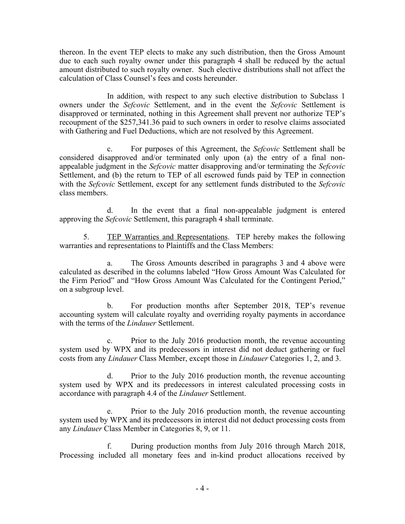thereon. In the event TEP elects to make any such distribution, then the Gross Amount due to each such royalty owner under this paragraph 4 shall be reduced by the actual amount distributed to such royalty owner. Such elective distributions shall not affect the calculation of Class Counsel's fees and costs hereunder.

In addition, with respect to any such elective distribution to Subclass 1 owners under the *Sefcovic* Settlement, and in the event the *Sefcovic* Settlement is disapproved or terminated, nothing in this Agreement shall prevent nor authorize TEP's recoupment of the \$257,341.36 paid to such owners in order to resolve claims associated with Gathering and Fuel Deductions, which are not resolved by this Agreement.

c. For purposes of this Agreement, the *Sefcovic* Settlement shall be considered disapproved and/or terminated only upon (a) the entry of a final nonappealable judgment in the *Sefcovic* matter disapproving and/or terminating the *Sefcovic*  Settlement, and (b) the return to TEP of all escrowed funds paid by TEP in connection with the *Sefcovic* Settlement, except for any settlement funds distributed to the *Sefcovic*  class members.

d. In the event that a final non-appealable judgment is entered approving the *Sefcovic* Settlement, this paragraph 4 shall terminate.

5. TEP Warranties and Representations. TEP hereby makes the following warranties and representations to Plaintiffs and the Class Members:

a. The Gross Amounts described in paragraphs 3 and 4 above were calculated as described in the columns labeled "How Gross Amount Was Calculated for the Firm Period" and "How Gross Amount Was Calculated for the Contingent Period," on a subgroup level.

b. For production months after September 2018, TEP's revenue accounting system will calculate royalty and overriding royalty payments in accordance with the terms of the *Lindauer* Settlement.

c. Prior to the July 2016 production month, the revenue accounting system used by WPX and its predecessors in interest did not deduct gathering or fuel costs from any *Lindauer* Class Member, except those in *Lindauer* Categories 1, 2, and 3.

d. Prior to the July 2016 production month, the revenue accounting system used by WPX and its predecessors in interest calculated processing costs in accordance with paragraph 4.4 of the *Lindauer* Settlement.

e. Prior to the July 2016 production month, the revenue accounting system used by WPX and its predecessors in interest did not deduct processing costs from any *Lindauer* Class Member in Categories 8, 9, or 11.

f. During production months from July 2016 through March 2018, Processing included all monetary fees and in-kind product allocations received by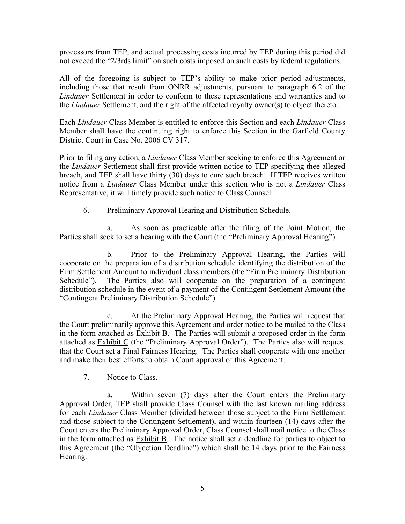processors from TEP, and actual processing costs incurred by TEP during this period did not exceed the "2/3rds limit" on such costs imposed on such costs by federal regulations.

All of the foregoing is subject to TEP's ability to make prior period adjustments, including those that result from ONRR adjustments, pursuant to paragraph 6.2 of the *Lindauer* Settlement in order to conform to these representations and warranties and to the *Lindauer* Settlement, and the right of the affected royalty owner(s) to object thereto.

Each *Lindauer* Class Member is entitled to enforce this Section and each *Lindauer* Class Member shall have the continuing right to enforce this Section in the Garfield County District Court in Case No. 2006 CV 317.

Prior to filing any action, a *Lindauer* Class Member seeking to enforce this Agreement or the *Lindauer* Settlement shall first provide written notice to TEP specifying thee alleged breach, and TEP shall have thirty (30) days to cure such breach. If TEP receives written notice from a *Lindauer* Class Member under this section who is not a *Lindauer* Class Representative, it will timely provide such notice to Class Counsel.

## 6. Preliminary Approval Hearing and Distribution Schedule.

a. As soon as practicable after the filing of the Joint Motion, the Parties shall seek to set a hearing with the Court (the "Preliminary Approval Hearing").

b. Prior to the Preliminary Approval Hearing, the Parties will cooperate on the preparation of a distribution schedule identifying the distribution of the Firm Settlement Amount to individual class members (the "Firm Preliminary Distribution Schedule"). The Parties also will cooperate on the preparation of a contingent The Parties also will cooperate on the preparation of a contingent distribution schedule in the event of a payment of the Contingent Settlement Amount (the "Contingent Preliminary Distribution Schedule").

c. At the Preliminary Approval Hearing, the Parties will request that the Court preliminarily approve this Agreement and order notice to be mailed to the Class in the form attached as  $Exhibit B$ . The Parties will submit a proposed order in the form attached as Exhibit C (the "Preliminary Approval Order"). The Parties also will request that the Court set a Final Fairness Hearing. The Parties shall cooperate with one another and make their best efforts to obtain Court approval of this Agreement.

# 7. Notice to Class.

a. Within seven (7) days after the Court enters the Preliminary Approval Order, TEP shall provide Class Counsel with the last known mailing address for each *Lindauer* Class Member (divided between those subject to the Firm Settlement and those subject to the Contingent Settlement), and within fourteen (14) days after the Court enters the Preliminary Approval Order, Class Counsel shall mail notice to the Class in the form attached as  $Exhibit B$ . The notice shall set a deadline for parties to object to this Agreement (the "Objection Deadline") which shall be 14 days prior to the Fairness Hearing.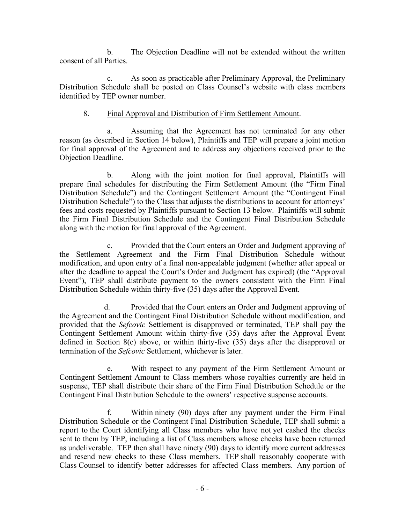b. The Objection Deadline will not be extended without the written consent of all Parties.

c. As soon as practicable after Preliminary Approval, the Preliminary Distribution Schedule shall be posted on Class Counsel's website with class members identified by TEP owner number.

### 8. Final Approval and Distribution of Firm Settlement Amount.

a. Assuming that the Agreement has not terminated for any other reason (as described in Section 14 below), Plaintiffs and TEP will prepare a joint motion for final approval of the Agreement and to address any objections received prior to the Objection Deadline.

b. Along with the joint motion for final approval, Plaintiffs will prepare final schedules for distributing the Firm Settlement Amount (the "Firm Final Distribution Schedule") and the Contingent Settlement Amount (the "Contingent Final Distribution Schedule") to the Class that adjusts the distributions to account for attorneys' fees and costs requested by Plaintiffs pursuant to Section 13 below. Plaintiffs will submit the Firm Final Distribution Schedule and the Contingent Final Distribution Schedule along with the motion for final approval of the Agreement.

c. Provided that the Court enters an Order and Judgment approving of the Settlement Agreement and the Firm Final Distribution Schedule without modification, and upon entry of a final non-appealable judgment (whether after appeal or after the deadline to appeal the Court's Order and Judgment has expired) (the "Approval Event"), TEP shall distribute payment to the owners consistent with the Firm Final Distribution Schedule within thirty-five (35) days after the Approval Event.

d. Provided that the Court enters an Order and Judgment approving of the Agreement and the Contingent Final Distribution Schedule without modification, and provided that the *Sefcovic* Settlement is disapproved or terminated, TEP shall pay the Contingent Settlement Amount within thirty-five (35) days after the Approval Event defined in Section 8(c) above, or within thirty-five (35) days after the disapproval or termination of the *Sefcovic* Settlement, whichever is later.

e. With respect to any payment of the Firm Settlement Amount or Contingent Settlement Amount to Class members whose royalties currently are held in suspense, TEP shall distribute their share of the Firm Final Distribution Schedule or the Contingent Final Distribution Schedule to the owners' respective suspense accounts.

f. Within ninety (90) days after any payment under the Firm Final Distribution Schedule or the Contingent Final Distribution Schedule, TEP shall submit a report to the Court identifying all Class members who have not yet cashed the checks sent to them by TEP, including a list of Class members whose checks have been returned as undeliverable. TEP then shall have ninety (90) days to identify more current addresses and resend new checks to these Class members. TEP shall reasonably cooperate with Class Counsel to identify better addresses for affected Class members. Any portion of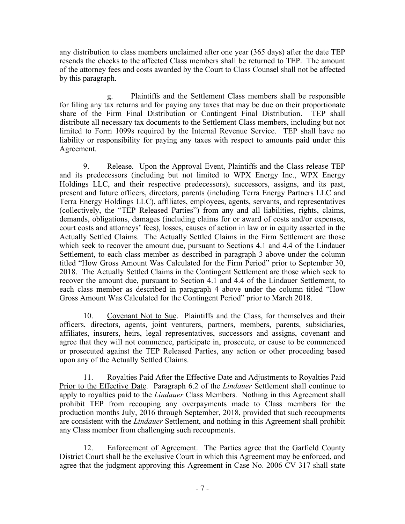any distribution to class members unclaimed after one year (365 days) after the date TEP resends the checks to the affected Class members shall be returned to TEP. The amount of the attorney fees and costs awarded by the Court to Class Counsel shall not be affected by this paragraph.

g. Plaintiffs and the Settlement Class members shall be responsible for filing any tax returns and for paying any taxes that may be due on their proportionate share of the Firm Final Distribution or Contingent Final Distribution. TEP shall distribute all necessary tax documents to the Settlement Class members, including but not limited to Form 1099s required by the Internal Revenue Service. TEP shall have no liability or responsibility for paying any taxes with respect to amounts paid under this Agreement.

9. Release. Upon the Approval Event, Plaintiffs and the Class release TEP and its predecessors (including but not limited to WPX Energy Inc., WPX Energy Holdings LLC, and their respective predecessors), successors, assigns, and its past, present and future officers, directors, parents (including Terra Energy Partners LLC and Terra Energy Holdings LLC), affiliates, employees, agents, servants, and representatives (collectively, the "TEP Released Parties") from any and all liabilities, rights, claims, demands, obligations, damages (including claims for or award of costs and/or expenses, court costs and attorneys' fees), losses, causes of action in law or in equity asserted in the Actually Settled Claims. The Actually Settled Claims in the Firm Settlement are those which seek to recover the amount due, pursuant to Sections 4.1 and 4.4 of the Lindauer Settlement, to each class member as described in paragraph 3 above under the column titled "How Gross Amount Was Calculated for the Firm Period" prior to September 30, 2018. The Actually Settled Claims in the Contingent Settlement are those which seek to recover the amount due, pursuant to Section 4.1 and 4.4 of the Lindauer Settlement, to each class member as described in paragraph 4 above under the column titled "How Gross Amount Was Calculated for the Contingent Period" prior to March 2018.

10. Covenant Not to Sue. Plaintiffs and the Class, for themselves and their officers, directors, agents, joint venturers, partners, members, parents, subsidiaries, affiliates, insurers, heirs, legal representatives, successors and assigns, covenant and agree that they will not commence, participate in, prosecute, or cause to be commenced or prosecuted against the TEP Released Parties, any action or other proceeding based upon any of the Actually Settled Claims.

11. Royalties Paid After the Effective Date and Adjustments to Royalties Paid Prior to the Effective Date. Paragraph 6.2 of the *Lindauer* Settlement shall continue to apply to royalties paid to the *Lindauer* Class Members. Nothing in this Agreement shall prohibit TEP from recouping any overpayments made to Class members for the production months July, 2016 through September, 2018, provided that such recoupments are consistent with the *Lindauer* Settlement, and nothing in this Agreement shall prohibit any Class member from challenging such recoupments.

12. Enforcement of Agreement. The Parties agree that the Garfield County District Court shall be the exclusive Court in which this Agreement may be enforced, and agree that the judgment approving this Agreement in Case No. 2006 CV 317 shall state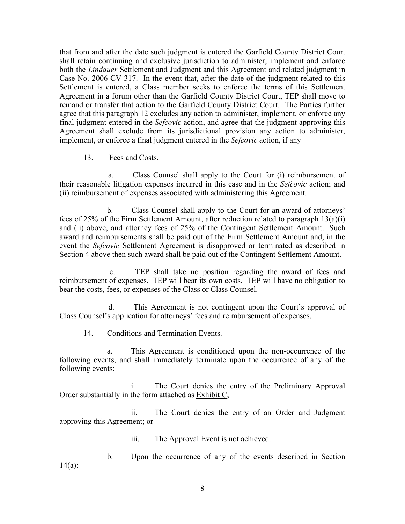that from and after the date such judgment is entered the Garfield County District Court shall retain continuing and exclusive jurisdiction to administer, implement and enforce both the *Lindauer* Settlement and Judgment and this Agreement and related judgment in Case No. 2006 CV 317. In the event that, after the date of the judgment related to this Settlement is entered, a Class member seeks to enforce the terms of this Settlement Agreement in a forum other than the Garfield County District Court, TEP shall move to remand or transfer that action to the Garfield County District Court. The Parties further agree that this paragraph 12 excludes any action to administer, implement, or enforce any final judgment entered in the *Sefcovic* action, and agree that the judgment approving this Agreement shall exclude from its jurisdictional provision any action to administer, implement, or enforce a final judgment entered in the *Sefcovic* action, if any

### 13. Fees and Costs.

 a. Class Counsel shall apply to the Court for (i) reimbursement of their reasonable litigation expenses incurred in this case and in the *Sefcovic* action; and (ii) reimbursement of expenses associated with administering this Agreement.

b. Class Counsel shall apply to the Court for an award of attorneys' fees of 25% of the Firm Settlement Amount, after reduction related to paragraph 13(a)(i) and (ii) above, and attorney fees of 25% of the Contingent Settlement Amount. Such award and reimbursements shall be paid out of the Firm Settlement Amount and, in the event the *Sefcovic* Settlement Agreement is disapproved or terminated as described in Section 4 above then such award shall be paid out of the Contingent Settlement Amount.

 c. TEP shall take no position regarding the award of fees and reimbursement of expenses. TEP will bear its own costs. TEP will have no obligation to bear the costs, fees, or expenses of the Class or Class Counsel.

 d. This Agreement is not contingent upon the Court's approval of Class Counsel's application for attorneys' fees and reimbursement of expenses.

## 14. Conditions and Termination Events.

a. This Agreement is conditioned upon the non-occurrence of the following events, and shall immediately terminate upon the occurrence of any of the following events:

i. The Court denies the entry of the Preliminary Approval Order substantially in the form attached as Exhibit C;

ii. The Court denies the entry of an Order and Judgment approving this Agreement; or

iii. The Approval Event is not achieved.

b. Upon the occurrence of any of the events described in Section 14(a):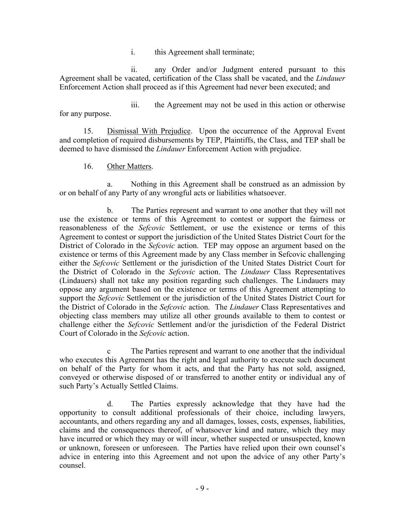i. this Agreement shall terminate;

ii. any Order and/or Judgment entered pursuant to this Agreement shall be vacated, certification of the Class shall be vacated, and the *Lindauer*  Enforcement Action shall proceed as if this Agreement had never been executed; and

iii. the Agreement may not be used in this action or otherwise for any purpose.

15. Dismissal With Prejudice. Upon the occurrence of the Approval Event and completion of required disbursements by TEP, Plaintiffs, the Class, and TEP shall be deemed to have dismissed the *Lindauer* Enforcement Action with prejudice.

16. Other Matters.

a. Nothing in this Agreement shall be construed as an admission by or on behalf of any Party of any wrongful acts or liabilities whatsoever.

b. The Parties represent and warrant to one another that they will not use the existence or terms of this Agreement to contest or support the fairness or reasonableness of the *Sefcovic* Settlement, or use the existence or terms of this Agreement to contest or support the jurisdiction of the United States District Court for the District of Colorado in the *Sefcovic* action. TEP may oppose an argument based on the existence or terms of this Agreement made by any Class member in Sefcovic challenging either the *Sefcovic* Settlement or the jurisdiction of the United States District Court for the District of Colorado in the *Sefcovic* action. The *Lindauer* Class Representatives (Lindauers) shall not take any position regarding such challenges. The Lindauers may oppose any argument based on the existence or terms of this Agreement attempting to support the *Sefcovic* Settlement or the jurisdiction of the United States District Court for the District of Colorado in the *Sefcovic* action. The *Lindauer* Class Representatives and objecting class members may utilize all other grounds available to them to contest or challenge either the *Sefcovic* Settlement and/or the jurisdiction of the Federal District Court of Colorado in the *Sefcovic* action.

c The Parties represent and warrant to one another that the individual who executes this Agreement has the right and legal authority to execute such document on behalf of the Party for whom it acts, and that the Party has not sold, assigned, conveyed or otherwise disposed of or transferred to another entity or individual any of such Party's Actually Settled Claims.

d. The Parties expressly acknowledge that they have had the opportunity to consult additional professionals of their choice, including lawyers, accountants, and others regarding any and all damages, losses, costs, expenses, liabilities, claims and the consequences thereof, of whatsoever kind and nature, which they may have incurred or which they may or will incur, whether suspected or unsuspected, known or unknown, foreseen or unforeseen. The Parties have relied upon their own counsel's advice in entering into this Agreement and not upon the advice of any other Party's counsel.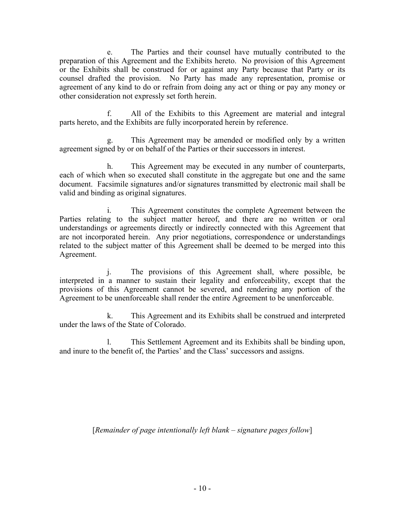e. The Parties and their counsel have mutually contributed to the preparation of this Agreement and the Exhibits hereto. No provision of this Agreement or the Exhibits shall be construed for or against any Party because that Party or its counsel drafted the provision. No Party has made any representation, promise or agreement of any kind to do or refrain from doing any act or thing or pay any money or other consideration not expressly set forth herein.

f. All of the Exhibits to this Agreement are material and integral parts hereto, and the Exhibits are fully incorporated herein by reference.

g. This Agreement may be amended or modified only by a written agreement signed by or on behalf of the Parties or their successors in interest.

h. This Agreement may be executed in any number of counterparts, each of which when so executed shall constitute in the aggregate but one and the same document. Facsimile signatures and/or signatures transmitted by electronic mail shall be valid and binding as original signatures.

i. This Agreement constitutes the complete Agreement between the Parties relating to the subject matter hereof, and there are no written or oral understandings or agreements directly or indirectly connected with this Agreement that are not incorporated herein. Any prior negotiations, correspondence or understandings related to the subject matter of this Agreement shall be deemed to be merged into this Agreement.

j. The provisions of this Agreement shall, where possible, be interpreted in a manner to sustain their legality and enforceability, except that the provisions of this Agreement cannot be severed, and rendering any portion of the Agreement to be unenforceable shall render the entire Agreement to be unenforceable.

k. This Agreement and its Exhibits shall be construed and interpreted under the laws of the State of Colorado.

l. This Settlement Agreement and its Exhibits shall be binding upon, and inure to the benefit of, the Parties' and the Class' successors and assigns.

[*Remainder of page intentionally left blank – signature pages follow*]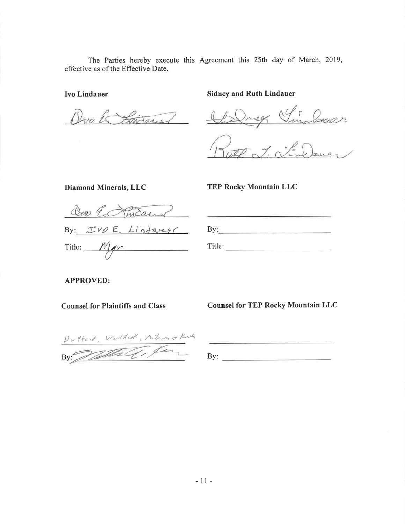The Parties hereby execute this Agreement this 25th day of March, 2019, effective as of the Effective Date.

Ivo Lindauer

Pro la Sistance

**Sidney and Ruth Lindauer** 

Village Sinders

Diamond Minerals, LLC

### **TEP Rocky Mountain LLC**

<u> 1980 - Johann Barn, amerikan persoan (</u>

Seo E. Jmeans By: JUDE Lindarer

 $Title:  $Mgr$ .$ 

| and the property of the property of |  | product the company's company's |  |
|-------------------------------------|--|---------------------------------|--|
| By:                                 |  |                                 |  |
|                                     |  |                                 |  |
| Title:                              |  |                                 |  |

**APPROVED:** 

**Counsel for Plaintiffs and Class** 

**Counsel for TEP Rocky Mountain LLC** 

Duttond, Worldesk, Milion & Koth

By:  $\qquad \qquad$